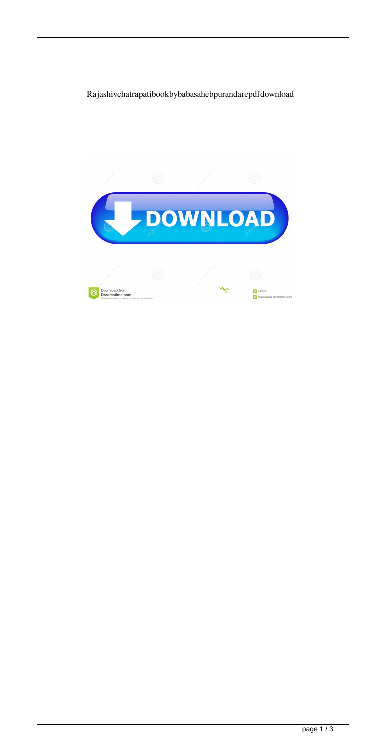## Rajashivchatrapatibookbybabasahebpurandarepdfdownload

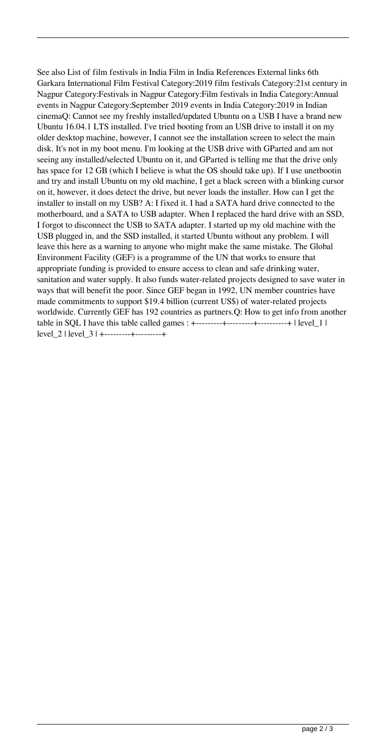See also List of film festivals in India Film in India References External links 6th Garkara International Film Festival Category:2019 film festivals Category:21st century in Nagpur Category:Festivals in Nagpur Category:Film festivals in India Category:Annual events in Nagpur Category:September 2019 events in India Category:2019 in Indian cinemaQ: Cannot see my freshly installed/updated Ubuntu on a USB I have a brand new Ubuntu 16.04.1 LTS installed. I've tried booting from an USB drive to install it on my older desktop machine, however, I cannot see the installation screen to select the main disk. It's not in my boot menu. I'm looking at the USB drive with GParted and am not seeing any installed/selected Ubuntu on it, and GParted is telling me that the drive only has space for 12 GB (which I believe is what the OS should take up). If I use unetbootin and try and install Ubuntu on my old machine, I get a black screen with a blinking cursor on it, however, it does detect the drive, but never loads the installer. How can I get the installer to install on my USB? A: I fixed it. I had a SATA hard drive connected to the motherboard, and a SATA to USB adapter. When I replaced the hard drive with an SSD, I forgot to disconnect the USB to SATA adapter. I started up my old machine with the USB plugged in, and the SSD installed, it started Ubuntu without any problem. I will leave this here as a warning to anyone who might make the same mistake. The Global Environment Facility (GEF) is a programme of the UN that works to ensure that appropriate funding is provided to ensure access to clean and safe drinking water, sanitation and water supply. It also funds water-related projects designed to save water in ways that will benefit the poor. Since GEF began in 1992, UN member countries have made commitments to support \$19.4 billion (current US\$) of water-related projects worldwide. Currently GEF has 192 countries as partners.Q: How to get info from another table in SQL I have this table called games :  $+$ ---------+---------+----------+ | level\_1 | level 2 | level 3 | +---------+----------+